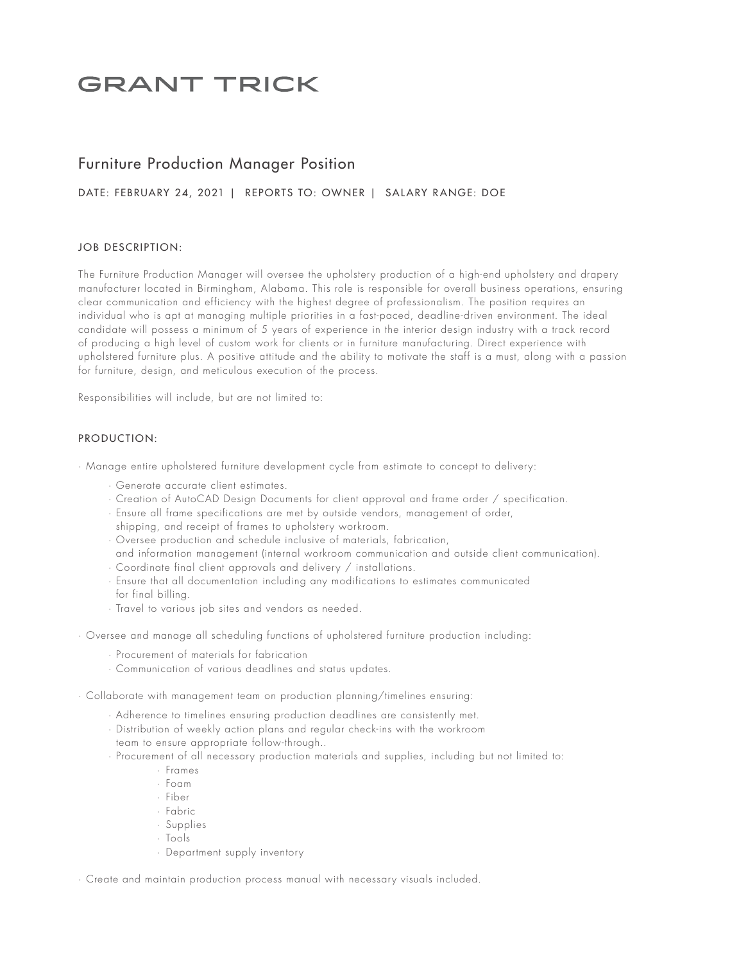# **GRANT TRICK**

# Furniture Production Manager Position

## DATE: FEBRUARY 24, 2021 | REPORTS TO: OWNER | SALARY RANGE: DOE

### JOB DESCRIPTION:

The Furniture Production Manager will oversee the upholstery production of a high-end upholstery and drapery manufacturer located in Birmingham, Alabama. This role is responsible for overall business operations, ensuring clear communication and efficiency with the highest degree of professionalism. The position requires an individual who is apt at managing multiple priorities in a fast-paced, deadline-driven environment. The ideal candidate will possess a minimum of 5 years of experience in the interior design industry with a track record of producing a high level of custom work for clients or in furniture manufacturing. Direct experience with upholstered furniture plus. A positive attitude and the ability to motivate the staff is a must, along with a passion for furniture, design, and meticulous execution of the process.

Responsibilities will include, but are not limited to:

#### PRODUCTION:

· Manage entire upholstered furniture development cycle from estimate to concept to delivery:

- · Generate accurate client estimates.
- · Creation of AutoCAD Design Documents for client approval and frame order / specification.
- · Ensure all frame specifications are met by outside vendors, management of order,
- shipping, and receipt of frames to upholstery workroom.
- · Oversee production and schedule inclusive of materials, fabrication,
- and information management (internal workroom communication and outside client communication).
- · Coordinate final client approvals and delivery / installations.
- · Ensure that all documentation including any modifications to estimates communicated for final billing.
- · Travel to various job sites and vendors as needed.
- · Oversee and manage all scheduling functions of upholstered furniture production including:
	- · Procurement of materials for fabrication
	- · Communication of various deadlines and status updates.
- · Collaborate with management team on production planning/timelines ensuring:
	- · Adherence to timelines ensuring production deadlines are consistently met.
	- · Distribution of weekly action plans and regular check-ins with the workroom
	- team to ensure appropriate follow-through..
	- · Procurement of all necessary production materials and supplies, including but not limited to:
		- · Frames
		- · Foam
		- · Fiber
		- · Fabric
		- · Supplies
		- · Tools
		- · Department supply inventory

· Create and maintain production process manual with necessary visuals included.